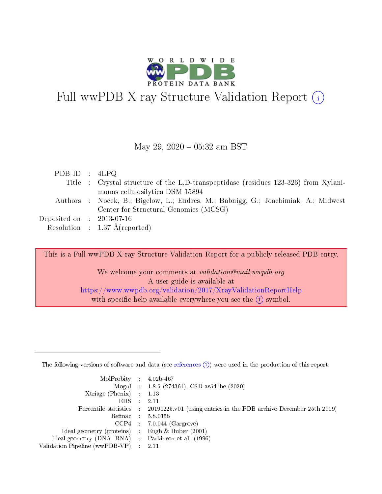

# Full wwPDB X-ray Structure Validation Report (i)

#### May 29,  $2020 - 05:32$  am BST

| PDB ID : $4LPQ$                |                                                                                     |
|--------------------------------|-------------------------------------------------------------------------------------|
|                                | Title : Crystal structure of the L,D-transpeptidase (residues 123-326) from Xylani- |
|                                | monas cellulosilytica DSM 15894                                                     |
|                                | Authors : Nocek, B.; Bigelow, L.; Endres, M.; Babnigg, G.; Joachimiak, A.; Midwest  |
|                                | Center for Structural Genomics (MCSG)                                               |
| Deposited on $\;$ : 2013-07-16 |                                                                                     |
|                                | Resolution : $1.37 \text{ Å}$ (reported)                                            |

This is a Full wwPDB X-ray Structure Validation Report for a publicly released PDB entry.

We welcome your comments at validation@mail.wwpdb.org A user guide is available at <https://www.wwpdb.org/validation/2017/XrayValidationReportHelp> with specific help available everywhere you see the  $(i)$  symbol.

The following versions of software and data (see [references](https://www.wwpdb.org/validation/2017/XrayValidationReportHelp#references)  $(1)$ ) were used in the production of this report:

| $MolProbability$ : 4.02b-467                       |               |                                                                                            |
|----------------------------------------------------|---------------|--------------------------------------------------------------------------------------------|
|                                                    |               | Mogul : $1.8.5$ (274361), CSD as 541be (2020)                                              |
| Xtriage (Phenix) $: 1.13$                          |               |                                                                                            |
| EDS.                                               | $\mathcal{L}$ | -2.11                                                                                      |
|                                                    |               | Percentile statistics : 20191225.v01 (using entries in the PDB archive December 25th 2019) |
|                                                    |               | Refmac : 5.8.0158                                                                          |
|                                                    |               | $CCP4$ 7.0.044 (Gargrove)                                                                  |
| Ideal geometry (proteins) : Engh $\&$ Huber (2001) |               |                                                                                            |
| Ideal geometry (DNA, RNA) Parkinson et al. (1996)  |               |                                                                                            |
| Validation Pipeline (wwPDB-VP) : 2.11              |               |                                                                                            |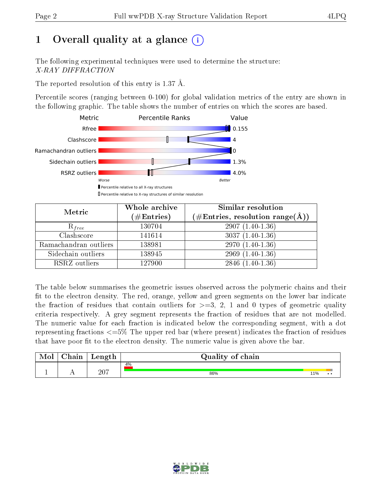## 1 [O](https://www.wwpdb.org/validation/2017/XrayValidationReportHelp#overall_quality)verall quality at a glance  $(i)$

The following experimental techniques were used to determine the structure: X-RAY DIFFRACTION

The reported resolution of this entry is 1.37 Å.

Percentile scores (ranging between 0-100) for global validation metrics of the entry are shown in the following graphic. The table shows the number of entries on which the scores are based.



| Metric                | Whole archive       | Similar resolution                                                        |  |  |  |
|-----------------------|---------------------|---------------------------------------------------------------------------|--|--|--|
|                       | (# $\rm{Entries}$ ) | $(\#\text{Entries},\,\text{resolution}\,\,\text{range}(\textup{\AA})\, )$ |  |  |  |
| $R_{free}$            | 130704              | $2907(1.40-1.36)$                                                         |  |  |  |
| Clashscore            | 141614              | $3037(1.40-1.36)$                                                         |  |  |  |
| Ramachandran outliers | 138981              | $2970(1.40-1.36)$                                                         |  |  |  |
| Sidechain outliers    | 138945              | $2969(1.40-1.36)$                                                         |  |  |  |
| RSRZ outliers         | 127900              | $2846(1.40-1.36)$                                                         |  |  |  |

The table below summarises the geometric issues observed across the polymeric chains and their fit to the electron density. The red, orange, yellow and green segments on the lower bar indicate the fraction of residues that contain outliers for  $>=3, 2, 1$  and 0 types of geometric quality criteria respectively. A grey segment represents the fraction of residues that are not modelled. The numeric value for each fraction is indicated below the corresponding segment, with a dot representing fractions  $\epsilon=5\%$  The upper red bar (where present) indicates the fraction of residues that have poor fit to the electron density. The numeric value is given above the bar.

| Mol | $\sim$ .<br>hain | Length | Quality of chain |     |  |
|-----|------------------|--------|------------------|-----|--|
|     |                  |        | 4%               |     |  |
| л.  | . .              | 207    | 86%              | 11% |  |

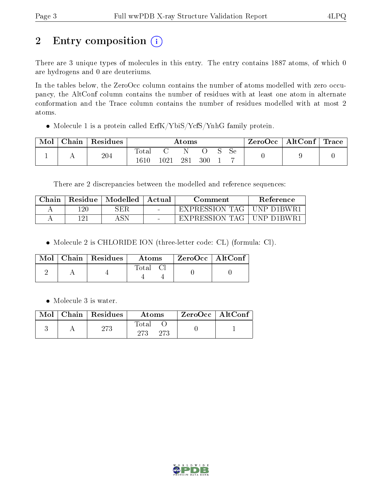## 2 Entry composition (i)

There are 3 unique types of molecules in this entry. The entry contains 1887 atoms, of which 0 are hydrogens and 0 are deuteriums.

In the tables below, the ZeroOcc column contains the number of atoms modelled with zero occupancy, the AltConf column contains the number of residues with at least one atom in alternate conformation and the Trace column contains the number of residues modelled with at most 2 atoms.

• Molecule 1 is a protein called ErfK/YbiS/YcfS/YnhG family protein.

| Mol | ${\rm Chain}$ | Residues | Atoms           |      |                 |     |  | ZeroOcc | $\vert$ AltConf $\vert$ | $\text{Trace} \parallel$ |  |
|-----|---------------|----------|-----------------|------|-----------------|-----|--|---------|-------------------------|--------------------------|--|
|     | . .           | 204      | $\mathrm{Tota}$ | 1021 | 28 <sup>1</sup> | 300 |  | Sе      |                         |                          |  |

There are 2 discrepancies between the modelled and reference sequences:

| Chain | Residue | Modelled | Actual | Comment            | Reference     |
|-------|---------|----------|--------|--------------------|---------------|
|       | 120     | SER      | $\sim$ | - EXPRESSION TAG - | ' UNP D1BWR . |
|       | 1 ດ:    | ASN      | $\sim$ | EXPRESSION TAG     | - HNP-D1RWR   |

Molecule 2 is CHLORIDE ION (three-letter code: CL) (formula: Cl).

|  | $\text{Mol}$   Chain   Residues | Atoms | ZeroOcc   AltConf |
|--|---------------------------------|-------|-------------------|
|  |                                 | Total |                   |

Molecule 3 is water.

|  | $\text{Mol}$   Chain   Residues | Atoms                      | ZeroOcc   AltConf |  |
|--|---------------------------------|----------------------------|-------------------|--|
|  | 273                             | <b>Total</b><br>273<br>273 |                   |  |

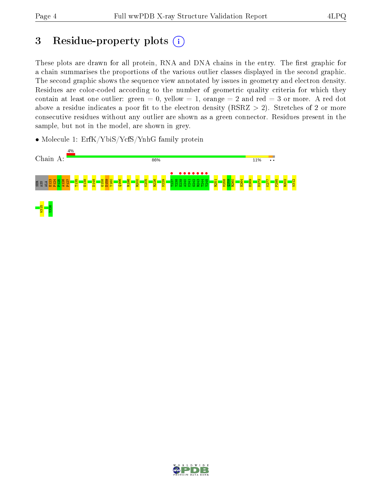## 3 Residue-property plots  $(i)$

These plots are drawn for all protein, RNA and DNA chains in the entry. The first graphic for a chain summarises the proportions of the various outlier classes displayed in the second graphic. The second graphic shows the sequence view annotated by issues in geometry and electron density. Residues are color-coded according to the number of geometric quality criteria for which they contain at least one outlier: green  $= 0$ , yellow  $= 1$ , orange  $= 2$  and red  $= 3$  or more. A red dot above a residue indicates a poor fit to the electron density (RSRZ  $> 2$ ). Stretches of 2 or more consecutive residues without any outlier are shown as a green connector. Residues present in the sample, but not in the model, are shown in grey.

• Molecule 1: ErfK/YbiS/YcfS/YnhG family protein



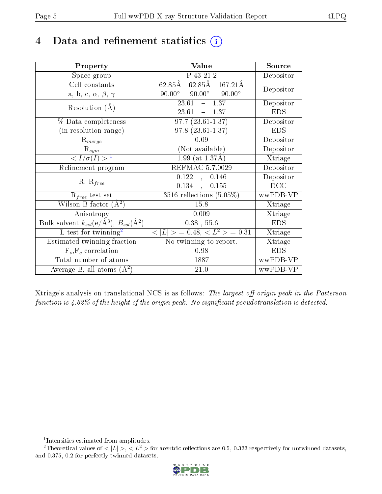## 4 Data and refinement statistics  $(i)$

| Property                                                         | Value                                                                             | Source     |
|------------------------------------------------------------------|-----------------------------------------------------------------------------------|------------|
| Space group                                                      | P 43 21 2                                                                         | Depositor  |
| Cell constants                                                   | $62.85\overline{\text{A}}$ $62.85\overline{\text{A}}$ $167.21\overline{\text{A}}$ | Depositor  |
| a, b, c, $\alpha$ , $\beta$ , $\gamma$                           | $90.00^{\circ}$ $90.00^{\circ}$<br>$90.00^\circ$                                  |            |
| Resolution $(A)$                                                 | $-1.37$<br>23.61                                                                  | Depositor  |
|                                                                  | 23.61<br>$-1.37$                                                                  | <b>EDS</b> |
| % Data completeness                                              | $97.7(23.61-1.37)$                                                                | Depositor  |
| (in resolution range)                                            | $97.8(23.61-1.37)$                                                                | <b>EDS</b> |
| $R_{merge}$                                                      | 0.09                                                                              | Depositor  |
| $\mathrm{R}_{sym}$                                               | (Not available)                                                                   | Depositor  |
| $\langle I/\sigma(I) \rangle^{-1}$                               | $1.99$ (at $1.37\text{\AA}$ )                                                     | Xtriage    |
| Refinement program                                               | <b>REFMAC 5.7.0029</b>                                                            | Depositor  |
|                                                                  | 0.122<br>0.146<br>$\mathbf{A}$                                                    | Depositor  |
| $R, R_{free}$                                                    | 0.134<br>0.155                                                                    | DCC        |
| $R_{free}$ test set                                              | 3516 reflections $(5.05\%)$                                                       | wwPDB-VP   |
| Wilson B-factor $(A^2)$                                          | 15.8                                                                              | Xtriage    |
| Anisotropy                                                       | 0.009                                                                             | Xtriage    |
| Bulk solvent $k_{sol}(\text{e}/\text{A}^3), B_{sol}(\text{A}^2)$ | $0.38$ , 55.6                                                                     | <b>EDS</b> |
| L-test for $\mathrm{twinning}^2$                                 | $< L >$ = 0.48, $< L^2 >$ = 0.31                                                  | Xtriage    |
| Estimated twinning fraction                                      | No twinning to report.                                                            | Xtriage    |
| $\overline{F_o}, \overline{F_c}$ correlation                     | 0.98                                                                              | <b>EDS</b> |
| Total number of atoms                                            | 1887                                                                              | wwPDB-VP   |
| Average B, all atoms $(A^2)$                                     | 21.0                                                                              | wwPDB-VP   |

Xtriage's analysis on translational NCS is as follows: The largest off-origin peak in the Patterson function is  $4.62\%$  of the height of the origin peak. No significant pseudotranslation is detected.

<sup>&</sup>lt;sup>2</sup>Theoretical values of  $\langle |L| \rangle$ ,  $\langle L^2 \rangle$  for acentric reflections are 0.5, 0.333 respectively for untwinned datasets, and 0.375, 0.2 for perfectly twinned datasets.



<span id="page-4-1"></span><span id="page-4-0"></span><sup>1</sup> Intensities estimated from amplitudes.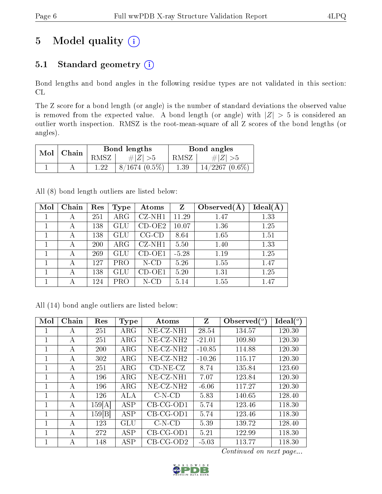## 5 Model quality  $(i)$

### 5.1 Standard geometry (i)

Bond lengths and bond angles in the following residue types are not validated in this section: CL

The Z score for a bond length (or angle) is the number of standard deviations the observed value is removed from the expected value. A bond length (or angle) with  $|Z| > 5$  is considered an outlier worth inspection. RMSZ is the root-mean-square of all Z scores of the bond lengths (or angles).

| Mol | Chain |       | Bond lengths    | Bond angles |                  |  |
|-----|-------|-------|-----------------|-------------|------------------|--|
|     |       | RMSZ- | $\# Z  > 5$     | RMSZ-       | $\# Z  > 5$      |  |
|     |       | 1 วว  | $8/1674(0.5\%)$ | 1.39        | $14/2267$ (0.6%) |  |

All (8) bond length outliers are listed below:

| Mol | Chain | Res | Type                 | Atoms       | Z       | Observed $(A$ | $Ideal(\AA)$ |
|-----|-------|-----|----------------------|-------------|---------|---------------|--------------|
|     | А     | 251 | $\rm{ARG}$           | CZ-NH1      | 11.29   | 1.47          | 1.33         |
|     | А     | 138 | $\operatorname{GLU}$ | $CD-OE2$    | 10.07   | 1.36          | 1.25         |
|     | А     | 138 | GLU                  | $CG$ - $CD$ | 8.64    | 1.65          | 1.51         |
|     | А     | 200 | $\rm{ARG}$           | $CZ-NH1$    | 5.50    | 1.40          | 1.33         |
|     | А     | 269 | $\operatorname{GLU}$ | CD-OE1      | $-5.28$ | 1.19          | 1.25         |
|     | А     | 127 | PRO                  | N-CD        | 5.26    | 1.55          | 1.47         |
|     | А     | 138 | $\operatorname{GLU}$ | CD-OE1      | 5.20    | 1.31          | 1.25         |
|     | А     | 124 | PRO                  | N-CD        | 5.14    | 1.55          | 1.47         |

|  |  | All (14) bond angle outliers are listed below: |  |  |
|--|--|------------------------------------------------|--|--|
|  |  |                                                |  |  |

| Mol | Chain | Res    | Type       | Atoms                    | Z        | Observed $(^\circ)$ | $Ideal(^{\circ})$ |
|-----|-------|--------|------------|--------------------------|----------|---------------------|-------------------|
| 1   | А     | 251    | $\rm{ARG}$ | $NE- CZ-NH1$             | 28.54    | 134.57              | 120.30            |
| 1   | А     | 251    | $\rm{ARG}$ | $NE-CZ-NH2$              | $-21.01$ | 109.80              | 120.30            |
| 1   | А     | 200    | $\rm{ARG}$ | NE-CZ-NH <sub>2</sub>    | $-10.85$ | 114.88              | 120.30            |
| 1   | А     | 302    | $\rm{ARG}$ | $NE$ -CZ-NH <sub>2</sub> | $-10.26$ | 115.17              | 120.30            |
| 1   | А     | 251    | $\rm{ARG}$ | $CD-NE- CZ$              | 8.74     | 135.84              | 123.60            |
| 1   | А     | 196    | $\rm{ARG}$ | $NE- CZ-NH1$             | 7.07     | 123.84              | 120.30            |
| 1   | А     | 196    | $\rm{ARG}$ | NE-CZ-NH <sub>2</sub>    | $-6.06$  | 117.27              | 120.30            |
| 1   | А     | 126    | ALA        | $C-N-CD$                 | 5.83     | 140.65              | 128.40            |
| 1   | А     | 159[A] | <b>ASP</b> | $CB-CG-OD1$              | 5.74     | 123.46              | 118.30            |
| 1   | А     | 159 B  | ASP        | $CB-CG-OD1$              | 5.74     | 123.46              | 118.30            |
|     | А     | 123    | GLU        | $C-N-CD$                 | 5.39     | 139.72              | 128.40            |
| 1   | A     | 272    | ASP        | $CB-CG-OD1$              | 5.21     | 122.99              | 118.30            |
|     | А     | 148    | ASP        | $CB-CG-OD2$              | $-5.03$  | 113.77              | 118.30            |

Continued on next page...

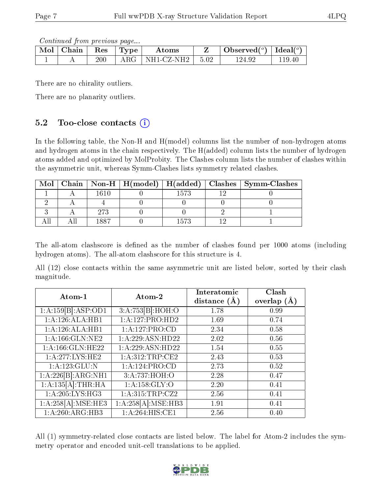Continued from previous page...

| Mol | Chain | Res | ' 'L'vpe' | Atoms                  |      | Observed( $^o$ )   Ideal( $^o$ ) |            |
|-----|-------|-----|-----------|------------------------|------|----------------------------------|------------|
|     |       | 200 | ARG       | $\pm$ NH1-CZ-NH2 $\pm$ | 5.02 | 124.92                           | $119.40\,$ |

There are no chirality outliers.

There are no planarity outliers.

### 5.2 Too-close contacts  $(i)$

In the following table, the Non-H and H(model) columns list the number of non-hydrogen atoms and hydrogen atoms in the chain respectively. The H(added) column lists the number of hydrogen atoms added and optimized by MolProbity. The Clashes column lists the number of clashes within the asymmetric unit, whereas Symm-Clashes lists symmetry related clashes.

| Mol |     |      | Chain   Non-H   H(model)   H(added)   Clashes   Symm-Clashes |
|-----|-----|------|--------------------------------------------------------------|
|     |     | 1573 |                                                              |
|     |     |      |                                                              |
|     | 273 |      |                                                              |
|     | 887 |      |                                                              |

The all-atom clashscore is defined as the number of clashes found per 1000 atoms (including hydrogen atoms). The all-atom clashscore for this structure is 4.

All (12) close contacts within the same asymmetric unit are listed below, sorted by their clash magnitude.

| Atom-1                         | Atom-2             | Interatomic<br>distance $(A)$ | Clash<br>overlap $(A)$ |
|--------------------------------|--------------------|-------------------------------|------------------------|
| 1:A:159[B]:ASP:OD1             | 3:A:753[B]:HOH:O   | 1.78                          | 0.99                   |
| 1:A:126:ALA:HB1                | 1:A:127:PRO:HD2    | 1.69                          | 0.74                   |
| 1:A:126:ALA:HB1                | 1:A:127:PRO:CD     | 2.34                          | 0.58                   |
| 1:A:166:GLN:NE2                | 1:A:229:ASN:HD22   | 2.02                          | 0.56                   |
| 1: A:166: GLN: HE22            | 1:A:229:ASN:HD22   | 1.54                          | 0.55                   |
| 1:A:277:LYS:HE2                | 1:A:312:TRP:CE2    | 2.43                          | 0.53                   |
| $1:A:123:\overline{GLU:N}$     | 1:A:124:PRO:CD     | 2.73                          | 0.52                   |
| $1:A:226[B]\overline{ARG:NH1}$ | 3:A:737:HOH:O      | 2.28                          | 0.47                   |
| 1:A:135[A]:THR:HA              | 1: A: 158: GLY: O  | 2.20                          | 0.41                   |
| 1: A:205:LYS:HG3               | 1:A:315:TRP:CZ2    | 2.56                          | 0.41                   |
| 1:A:258[A]:MSE:HE3             | 1:A:258[A]:MSE:HB3 | 1.91                          | 0.41                   |
| 1: A:260:ARG:HB3               | 1:A:264:HIS:CE1    | 2.56                          | 0.40                   |

All (1) symmetry-related close contacts are listed below. The label for Atom-2 includes the symmetry operator and encoded unit-cell translations to be applied.

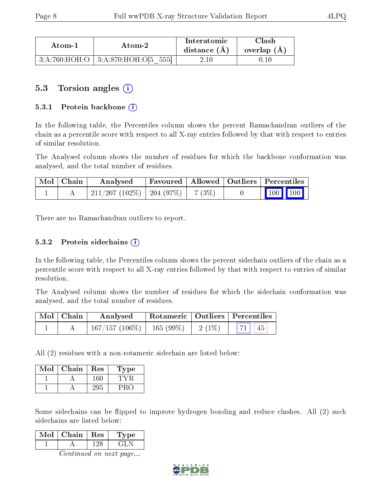| Atom-1 | Atom-2                                   | Interatomic<br>distance $(A)$ | ${\rm Class}$<br>overlap $(A,$ |
|--------|------------------------------------------|-------------------------------|--------------------------------|
|        | $3:A:760:HOH:O$   $3:A:870:HOH:O[5 555]$ |                               |                                |

### 5.3 Torsion angles (i)

#### 5.3.1 Protein backbone  $(i)$

In the following table, the Percentiles column shows the percent Ramachandran outliers of the chain as a percentile score with respect to all X-ray entries followed by that with respect to entries of similar resolution.

The Analysed column shows the number of residues for which the backbone conformation was analysed, and the total number of residues.

| $\mid$ Mol $\mid$ Chain $\mid$ | Analysed                            |  | $\mid$ Favoured   Allowed   Outliers   Percentiles                                                                    |
|--------------------------------|-------------------------------------|--|-----------------------------------------------------------------------------------------------------------------------|
|                                | 211/207 (102%)   204 (97%)   7 (3%) |  | $\begin{array}{ c c c c c }\n\hline\n\hline\n\hline\n\end{array}$ 100 $\begin{array}{ c c c c }\n\hline\n\end{array}$ |

There are no Ramachandran outliers to report.

#### 5.3.2 Protein sidechains  $\hat{I}$

In the following table, the Percentiles column shows the percent sidechain outliers of the chain as a percentile score with respect to all X-ray entries followed by that with respect to entries of similar resolution.

The Analysed column shows the number of residues for which the sidechain conformation was analysed, and the total number of residues.

| $\mid$ Mol $\mid$ Chain | Analysed                       | $^\top$ Rotameric   Outliers   Percentiles |           |    |
|-------------------------|--------------------------------|--------------------------------------------|-----------|----|
|                         | $167/157$ (106\%)   165 (99\%) |                                            | $-2(1\%)$ | 45 |

All (2) residues with a non-rotameric sidechain are listed below:

| $\operatorname{Mol}$ | Chain | $\operatorname{Res}% \left( \mathcal{N}\right) \equiv\operatorname{Res}(\mathcal{N}_{0})\cap\mathcal{N}_{1}$ | Type |
|----------------------|-------|--------------------------------------------------------------------------------------------------------------|------|
|                      |       | 160                                                                                                          |      |
|                      |       | -295                                                                                                         |      |

Some sidechains can be flipped to improve hydrogen bonding and reduce clashes. All (2) such sidechains are listed below:

| Mol | Chain | Res | ype |
|-----|-------|-----|-----|
|     |       |     |     |

Continued on next page...

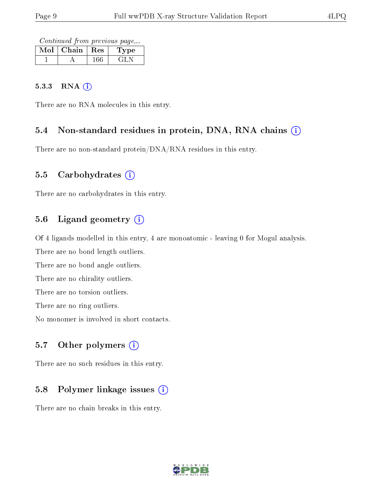Continued from previous page...

| Mol | Chain | $\mathbf{Res}$ | Type |
|-----|-------|----------------|------|
|     |       |                | . 11 |

#### 5.3.3 RNA (i)

There are no RNA molecules in this entry.

#### 5.4 Non-standard residues in protein, DNA, RNA chains (i)

There are no non-standard protein/DNA/RNA residues in this entry.

#### 5.5 Carbohydrates  $(i)$

There are no carbohydrates in this entry.

#### 5.6 Ligand geometry  $(i)$

Of 4 ligands modelled in this entry, 4 are monoatomic - leaving 0 for Mogul analysis.

There are no bond length outliers.

There are no bond angle outliers.

There are no chirality outliers.

There are no torsion outliers.

There are no ring outliers.

No monomer is involved in short contacts.

#### 5.7 [O](https://www.wwpdb.org/validation/2017/XrayValidationReportHelp#nonstandard_residues_and_ligands)ther polymers  $(i)$

There are no such residues in this entry.

#### 5.8 Polymer linkage issues  $(i)$

There are no chain breaks in this entry.

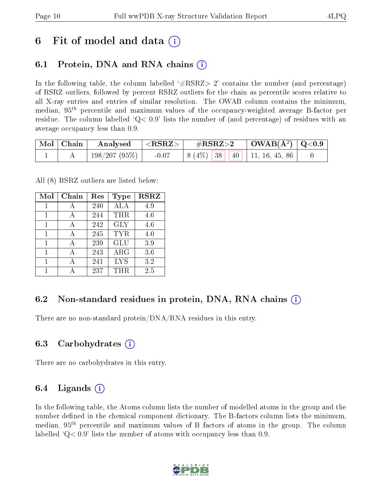## 6 Fit of model and data  $\left( \cdot \right)$

### 6.1 Protein, DNA and RNA chains (i)

In the following table, the column labelled  $#RSRZ>2'$  contains the number (and percentage) of RSRZ outliers, followed by percent RSRZ outliers for the chain as percentile scores relative to all X-ray entries and entries of similar resolution. The OWAB column contains the minimum, median,  $95<sup>th</sup>$  percentile and maximum values of the occupancy-weighted average B-factor per residue. The column labelled  $Q < 0.9$  lists the number of (and percentage) of residues with an average occupancy less than 0.9.

|  | $\mid$ Mol $\mid$ Chain $\mid$ Analysed $\mid$ <rsrz> <math>\mid</math></rsrz> |  | $\#RSRZ>2$ $\Box$ OWAB(Å <sup>2</sup> ) $\Box$ Q<0.9 |  |
|--|--------------------------------------------------------------------------------|--|------------------------------------------------------|--|
|  | 198/207 (95%)                                                                  |  | $-0.07$   8 (4\%)   38   40   11, 16, 45, 86         |  |

All (8) RSRZ outliers are listed below:

| Mol | $Chain$ | $\operatorname{Res}% \left( \mathcal{N}\right) \equiv\operatorname{Res}(\mathcal{N}_{0},\mathcal{N}_{0})$ | Type       | $\bf RSRZ$ |
|-----|---------|-----------------------------------------------------------------------------------------------------------|------------|------------|
| 1   | А       | 240                                                                                                       | ALA        | 4.9        |
| 1   | А       | 244                                                                                                       | THR        | 4.6        |
| 1   | А       | 242                                                                                                       | <b>GLY</b> | 4.6        |
| 1   | А       | 245                                                                                                       | TYR.       | 4.0        |
| 1   | А       | 239                                                                                                       | <b>GLU</b> | 3.9        |
| 1   |         | 243                                                                                                       | $\rm{ARG}$ | 3.6        |
|     |         | 241                                                                                                       | <b>LYS</b> | 3.2        |
|     |         | 237                                                                                                       | THR.       | 2.5        |

### 6.2 Non-standard residues in protein, DNA, RNA chains  $(i)$

There are no non-standard protein/DNA/RNA residues in this entry.

#### 6.3 Carbohydrates (i)

There are no carbohydrates in this entry.

### 6.4 Ligands  $(i)$

In the following table, the Atoms column lists the number of modelled atoms in the group and the number defined in the chemical component dictionary. The B-factors column lists the minimum, median,  $95<sup>th</sup>$  percentile and maximum values of B factors of atoms in the group. The column labelled  $Q< 0.9$ ' lists the number of atoms with occupancy less than 0.9.